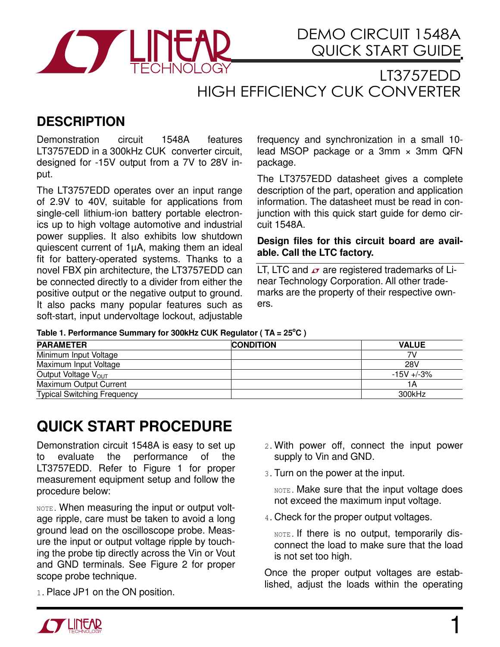

LT3757EDD HIGH EFFICIENCY CUK CONVERTER

## **DESCRIPTION**

Demonstration circuit 1548A features LT3757EDD in a 300kHz CUK converter circuit, designed for -15V output from a 7V to 28V input.

The LT3757EDD operates over an input range of 2.9V to 40V, suitable for applications from single-cell lithium-ion battery portable electronics up to high voltage automotive and industrial power supplies. It also exhibits low shutdown quiescent current of 1µA, making them an ideal fit for battery-operated systems. Thanks to a novel FBX pin architecture, the LT3757EDD can be connected directly to a divider from either the positive output or the negative output to ground. It also packs many popular features such as soft-start, input undervoltage lockout, adjustable

frequency and synchronization in a small 10 lead MSOP package or a 3mm × 3mm QFN package.

The LT3757EDD datasheet gives a complete description of the part, operation and application information. The datasheet must be read in conjunction with this quick start guide for demo circuit 1548A.

**Design files for this circuit board are available. Call the LTC factory.** 

LT, LTC and  $\sigma$  are registered trademarks of Linear Technology Corporation. All other trademarks are the property of their respective owners.

## Table 1. Performance Summary for 300kHz CUK Regulator (TA = 25<sup>°</sup>C)

| <b>PARAMETER</b>                   | <b>CONDITION</b> | <b>VALUE</b>  |
|------------------------------------|------------------|---------------|
| Minimum Input Voltage              |                  | 7V            |
| Maximum Input Voltage              |                  | 28V           |
| Output Voltage V <sub>OUT</sub>    |                  | $-15V + -3\%$ |
| <b>Maximum Output Current</b>      |                  | IΑ            |
| <b>Typical Switching Frequency</b> |                  | 300kHz        |

## **QUICK START PROCEDURE**

Demonstration circuit 1548A is easy to set up to evaluate the performance of the LT3757EDD. Refer to Figure 1 for proper measurement equipment setup and follow the procedure below:

NOTE. When measuring the input or output voltage ripple, care must be taken to avoid a long ground lead on the oscilloscope probe. Measure the input or output voltage ripple by touching the probe tip directly across the Vin or Vout and GND terminals. See Figure 2 for proper scope probe technique.

1. Place JP1 on the ON position.

- 2.With power off, connect the input power supply to Vin and GND.
- 3.Turn on the power at the input.

NOTE. Make sure that the input voltage does not exceed the maximum input voltage.

4.Check for the proper output voltages.

NOTE. If there is no output, temporarily disconnect the load to make sure that the load is not set too high.

Once the proper output voltages are established, adjust the loads within the operating

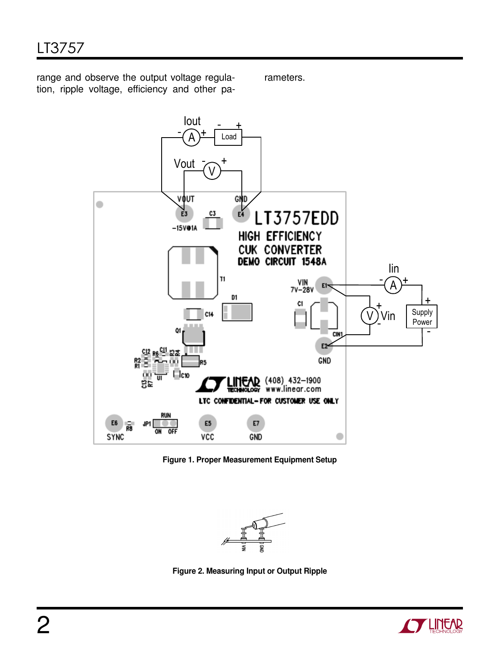range and observe the output voltage regulation, ripple voltage, efficiency and other pa-

rameters.



Figure 1. Proper Measurement Equipment Setup



Figure 2. Measuring Input or Output Ripple